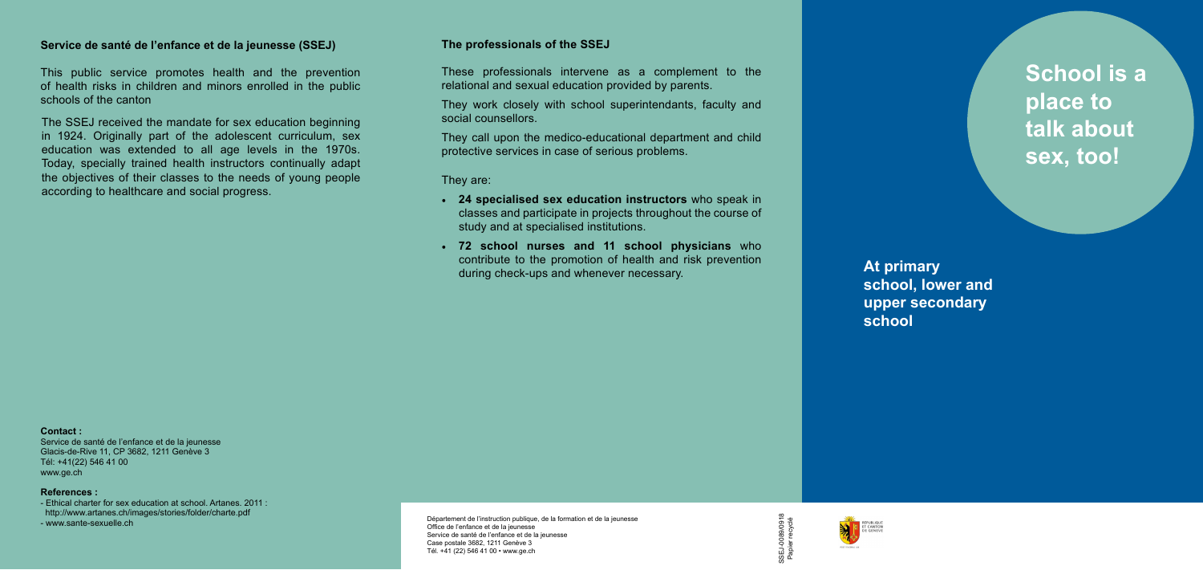**School is a place to talk about sex, too!**

## **The professionals of the SSEJ**

These professionals intervene as a complement to the relational and sexual education provided by parents.

They work closely with school superintendants, faculty and social counsellors.

They call upon the medico-educational department and child protective services in case of serious problems.

## **Service de santé de l'enfance et de la jeunesse (SSEJ)**

This public service promotes health and the prevention of health risks in children and minors enrolled in the public schools of the canton

#### **Contact :**

Service de santé de l'enfance et de la jeunesse Glacis-de-Rive 11, CP 3682, 1211 Genève 3 Tél: +41(22) 546 41 00 [www.ge.ch](http://)

#### **References :**

- Ethical charter for sex education at school. Artanes. 2011 : <http://www.artanes.ch/images/stories/folder/charte.pd>f -<www.sante-sexuelle.ch>

They are:

- **• 24 specialised sex education instructors** who speak in classes and participate in projects throughout the course of study and at specialised institutions.
- **• 72 school nurses and 11 school physicians** who contribute to the promotion of health and risk prevention during check-ups and whenever necessary.

The SSEJ received the mandate for sex education beginning in 1924. Originally part of the adolescent curriculum, sex education was extended to all age levels in the 1970s. Today, specially trained health instructors continually adapt the objectives of their classes to the needs of young people according to healthcare and social progress.

> Département de l'instruction publique, de la formation et de la jeunesse Office de l'enfance et de la jeunesse Service de santé de l'enfance et de la jeunesse Case postale 3682, 1211 Genève 3 Tél. +41 (22) 546 41 00 • [www.ge.ch](http://www.ge.ch/ssej)



**At primary school, lower and upper secondary school**



SSEJ-0089/0918 SSEJ-0089/0918<br>Papier recyclé Papier recyclé